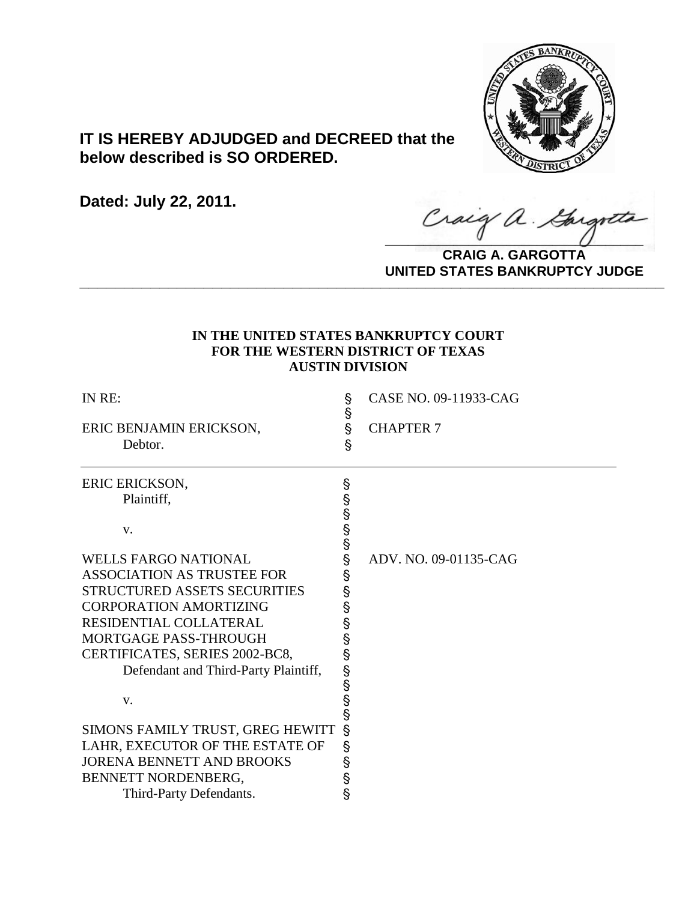

# **IT IS HEREBY ADJUDGED and DECREED that the below described is SO ORDERED.**

**Dated: July 22, 2011.**

Craig a Gargott

**CRAIG A. GARGOTTA UNITED STATES BANKRUPTCY JUDGE PRITED DIATED BARRACT TOT 00DCE** 

## **IN THE UNITED STATES BANKRUPTCY COURT FOR THE WESTERN DISTRICT OF TEXAS AUSTIN DIVISION**

| IN RE:                               | Ş<br>Ş | CASE NO. 09-11933-CAG |
|--------------------------------------|--------|-----------------------|
| ERIC BENJAMIN ERICKSON,<br>Debtor.   | Ş<br>Ŝ | <b>CHAPTER 7</b>      |
| ERIC ERICKSON,                       | Ş      |                       |
| Plaintiff,                           | တယ္တယ္ |                       |
| V.                                   |        |                       |
| <b>WELLS FARGO NATIONAL</b>          | §      | ADV. NO. 09-01135-CAG |
| <b>ASSOCIATION AS TRUSTEE FOR</b>    | Ş      |                       |
| STRUCTURED ASSETS SECURITIES         | Ş      |                       |
| <b>CORPORATION AMORTIZING</b>        | Ş      |                       |
| RESIDENTIAL COLLATERAL               | Ş      |                       |
| MORTGAGE PASS-THROUGH                | §      |                       |
| CERTIFICATES, SERIES 2002-BC8,       | Ş      |                       |
| Defendant and Third-Party Plaintiff, | တယ္တယ္ |                       |
|                                      |        |                       |
| V.                                   |        |                       |
|                                      |        |                       |
| SIMONS FAMILY TRUST, GREG HEWITT     | S      |                       |
| LAHR, EXECUTOR OF THE ESTATE OF      | Ş      |                       |
| <b>JORENA BENNETT AND BROOKS</b>     | Ş      |                       |
| BENNETT NORDENBERG,                  | Ş      |                       |
| Third-Party Defendants.              | Ş      |                       |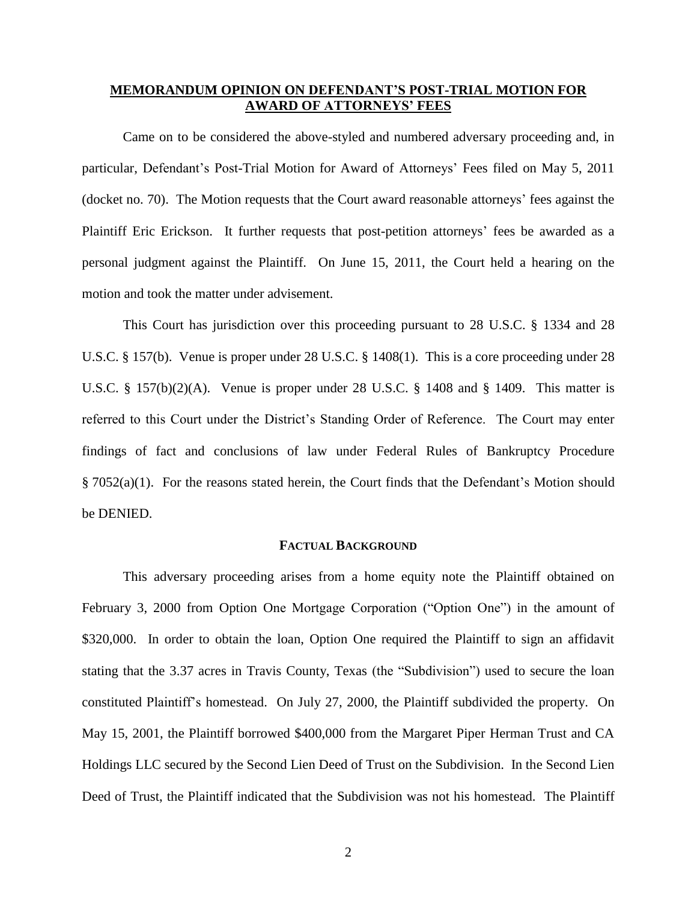## **MEMORANDUM OPINION ON DEFENDANT'S POST-TRIAL MOTION FOR AWARD OF ATTORNEYS' FEES**

Came on to be considered the above-styled and numbered adversary proceeding and, in particular, Defendant's Post-Trial Motion for Award of Attorneys' Fees filed on May 5, 2011 (docket no. 70). The Motion requests that the Court award reasonable attorneys' fees against the Plaintiff Eric Erickson. It further requests that post-petition attorneys' fees be awarded as a personal judgment against the Plaintiff. On June 15, 2011, the Court held a hearing on the motion and took the matter under advisement.

This Court has jurisdiction over this proceeding pursuant to 28 U.S.C. § 1334 and 28 U.S.C. § 157(b). Venue is proper under 28 U.S.C. § 1408(1). This is a core proceeding under 28 U.S.C. § 157(b)(2)(A). Venue is proper under 28 U.S.C. § 1408 and § 1409. This matter is referred to this Court under the District's Standing Order of Reference. The Court may enter findings of fact and conclusions of law under Federal Rules of Bankruptcy Procedure § 7052(a)(1). For the reasons stated herein, the Court finds that the Defendant's Motion should be DENIED.

## **FACTUAL BACKGROUND**

This adversary proceeding arises from a home equity note the Plaintiff obtained on February 3, 2000 from Option One Mortgage Corporation ("Option One") in the amount of \$320,000. In order to obtain the loan, Option One required the Plaintiff to sign an affidavit stating that the 3.37 acres in Travis County, Texas (the "Subdivision") used to secure the loan constituted Plaintiff's homestead. On July 27, 2000, the Plaintiff subdivided the property. On May 15, 2001, the Plaintiff borrowed \$400,000 from the Margaret Piper Herman Trust and CA Holdings LLC secured by the Second Lien Deed of Trust on the Subdivision. In the Second Lien Deed of Trust, the Plaintiff indicated that the Subdivision was not his homestead. The Plaintiff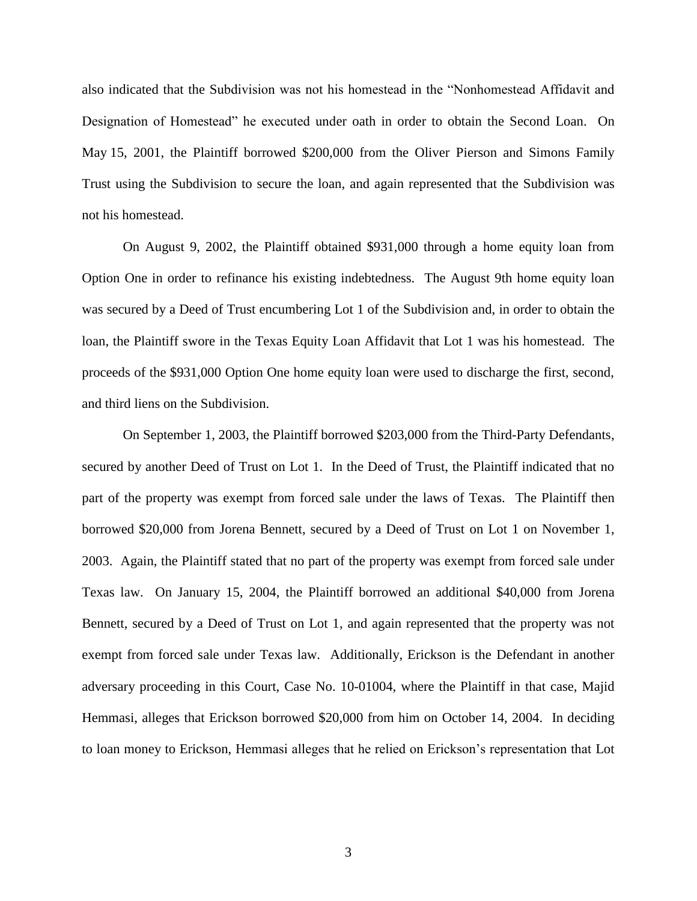also indicated that the Subdivision was not his homestead in the "Nonhomestead Affidavit and Designation of Homestead" he executed under oath in order to obtain the Second Loan. On May 15, 2001, the Plaintiff borrowed \$200,000 from the Oliver Pierson and Simons Family Trust using the Subdivision to secure the loan, and again represented that the Subdivision was not his homestead.

On August 9, 2002, the Plaintiff obtained \$931,000 through a home equity loan from Option One in order to refinance his existing indebtedness. The August 9th home equity loan was secured by a Deed of Trust encumbering Lot 1 of the Subdivision and, in order to obtain the loan, the Plaintiff swore in the Texas Equity Loan Affidavit that Lot 1 was his homestead. The proceeds of the \$931,000 Option One home equity loan were used to discharge the first, second, and third liens on the Subdivision.

On September 1, 2003, the Plaintiff borrowed \$203,000 from the Third-Party Defendants, secured by another Deed of Trust on Lot 1. In the Deed of Trust, the Plaintiff indicated that no part of the property was exempt from forced sale under the laws of Texas. The Plaintiff then borrowed \$20,000 from Jorena Bennett, secured by a Deed of Trust on Lot 1 on November 1, 2003. Again, the Plaintiff stated that no part of the property was exempt from forced sale under Texas law. On January 15, 2004, the Plaintiff borrowed an additional \$40,000 from Jorena Bennett, secured by a Deed of Trust on Lot 1, and again represented that the property was not exempt from forced sale under Texas law. Additionally, Erickson is the Defendant in another adversary proceeding in this Court, Case No. 10-01004, where the Plaintiff in that case, Majid Hemmasi, alleges that Erickson borrowed \$20,000 from him on October 14, 2004. In deciding to loan money to Erickson, Hemmasi alleges that he relied on Erickson's representation that Lot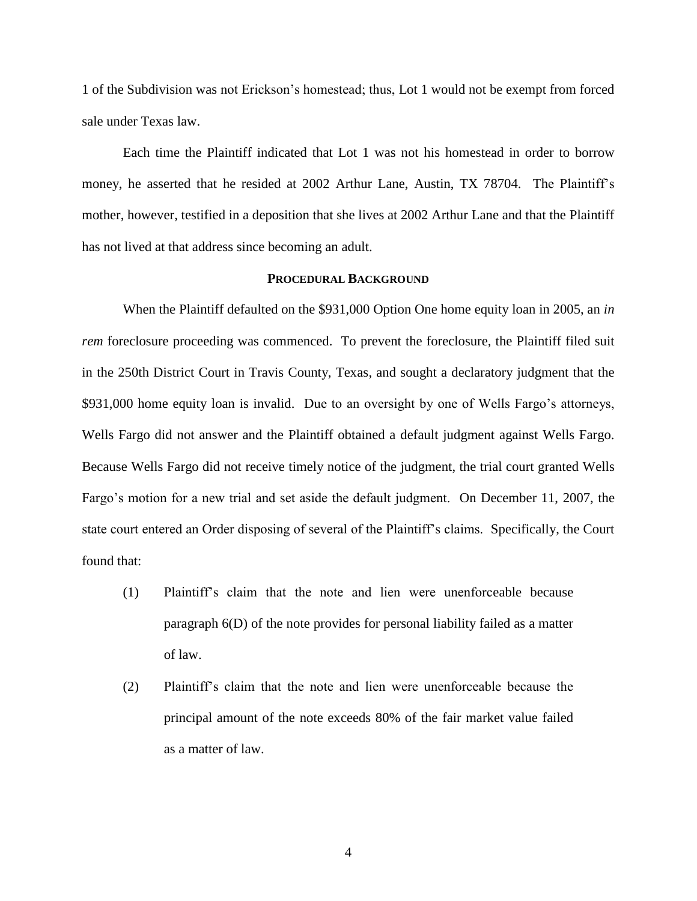1 of the Subdivision was not Erickson's homestead; thus, Lot 1 would not be exempt from forced sale under Texas law.

Each time the Plaintiff indicated that Lot 1 was not his homestead in order to borrow money, he asserted that he resided at 2002 Arthur Lane, Austin, TX 78704. The Plaintiff's mother, however, testified in a deposition that she lives at 2002 Arthur Lane and that the Plaintiff has not lived at that address since becoming an adult.

#### **PROCEDURAL BACKGROUND**

When the Plaintiff defaulted on the \$931,000 Option One home equity loan in 2005, an *in rem* foreclosure proceeding was commenced. To prevent the foreclosure, the Plaintiff filed suit in the 250th District Court in Travis County, Texas, and sought a declaratory judgment that the \$931,000 home equity loan is invalid. Due to an oversight by one of Wells Fargo's attorneys, Wells Fargo did not answer and the Plaintiff obtained a default judgment against Wells Fargo. Because Wells Fargo did not receive timely notice of the judgment, the trial court granted Wells Fargo's motion for a new trial and set aside the default judgment. On December 11, 2007, the state court entered an Order disposing of several of the Plaintiff's claims. Specifically, the Court found that:

- (1) Plaintiff's claim that the note and lien were unenforceable because paragraph 6(D) of the note provides for personal liability failed as a matter of law.
- (2) Plaintiff's claim that the note and lien were unenforceable because the principal amount of the note exceeds 80% of the fair market value failed as a matter of law.

4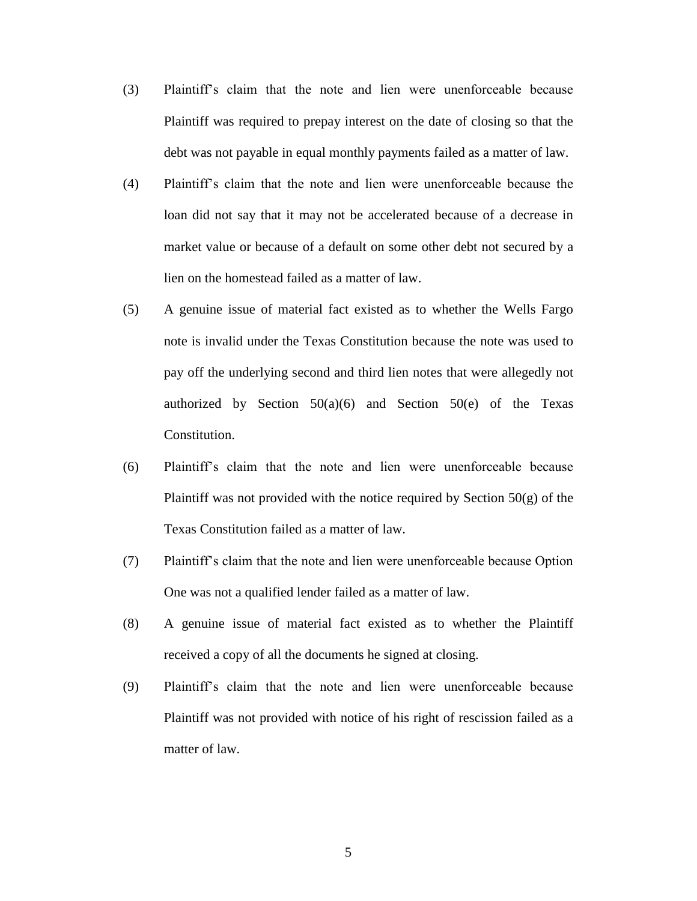- (3) Plaintiff's claim that the note and lien were unenforceable because Plaintiff was required to prepay interest on the date of closing so that the debt was not payable in equal monthly payments failed as a matter of law.
- (4) Plaintiff's claim that the note and lien were unenforceable because the loan did not say that it may not be accelerated because of a decrease in market value or because of a default on some other debt not secured by a lien on the homestead failed as a matter of law.
- (5) A genuine issue of material fact existed as to whether the Wells Fargo note is invalid under the Texas Constitution because the note was used to pay off the underlying second and third lien notes that were allegedly not authorized by Section  $50(a)(6)$  and Section  $50(e)$  of the Texas Constitution.
- (6) Plaintiff's claim that the note and lien were unenforceable because Plaintiff was not provided with the notice required by Section  $50(g)$  of the Texas Constitution failed as a matter of law.
- (7) Plaintiff's claim that the note and lien were unenforceable because Option One was not a qualified lender failed as a matter of law.
- (8) A genuine issue of material fact existed as to whether the Plaintiff received a copy of all the documents he signed at closing.
- (9) Plaintiff's claim that the note and lien were unenforceable because Plaintiff was not provided with notice of his right of rescission failed as a matter of law.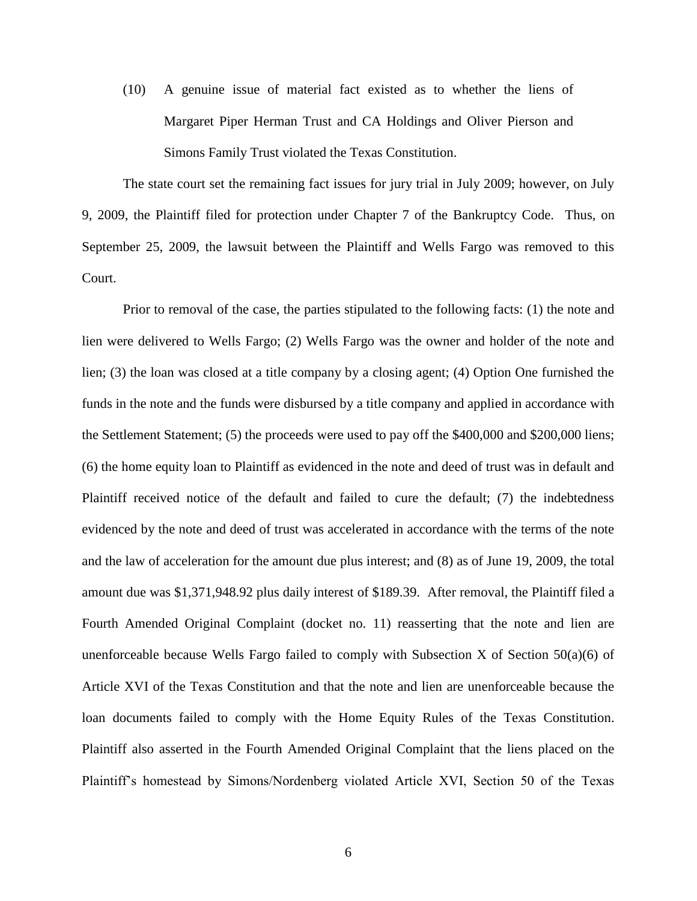(10) A genuine issue of material fact existed as to whether the liens of Margaret Piper Herman Trust and CA Holdings and Oliver Pierson and Simons Family Trust violated the Texas Constitution.

The state court set the remaining fact issues for jury trial in July 2009; however, on July 9, 2009, the Plaintiff filed for protection under Chapter 7 of the Bankruptcy Code. Thus, on September 25, 2009, the lawsuit between the Plaintiff and Wells Fargo was removed to this Court.

Prior to removal of the case, the parties stipulated to the following facts: (1) the note and lien were delivered to Wells Fargo; (2) Wells Fargo was the owner and holder of the note and lien; (3) the loan was closed at a title company by a closing agent; (4) Option One furnished the funds in the note and the funds were disbursed by a title company and applied in accordance with the Settlement Statement; (5) the proceeds were used to pay off the \$400,000 and \$200,000 liens; (6) the home equity loan to Plaintiff as evidenced in the note and deed of trust was in default and Plaintiff received notice of the default and failed to cure the default; (7) the indebtedness evidenced by the note and deed of trust was accelerated in accordance with the terms of the note and the law of acceleration for the amount due plus interest; and (8) as of June 19, 2009, the total amount due was \$1,371,948.92 plus daily interest of \$189.39. After removal, the Plaintiff filed a Fourth Amended Original Complaint (docket no. 11) reasserting that the note and lien are unenforceable because Wells Fargo failed to comply with Subsection X of Section  $50(a)(6)$  of Article XVI of the Texas Constitution and that the note and lien are unenforceable because the loan documents failed to comply with the Home Equity Rules of the Texas Constitution. Plaintiff also asserted in the Fourth Amended Original Complaint that the liens placed on the Plaintiff's homestead by Simons/Nordenberg violated Article XVI, Section 50 of the Texas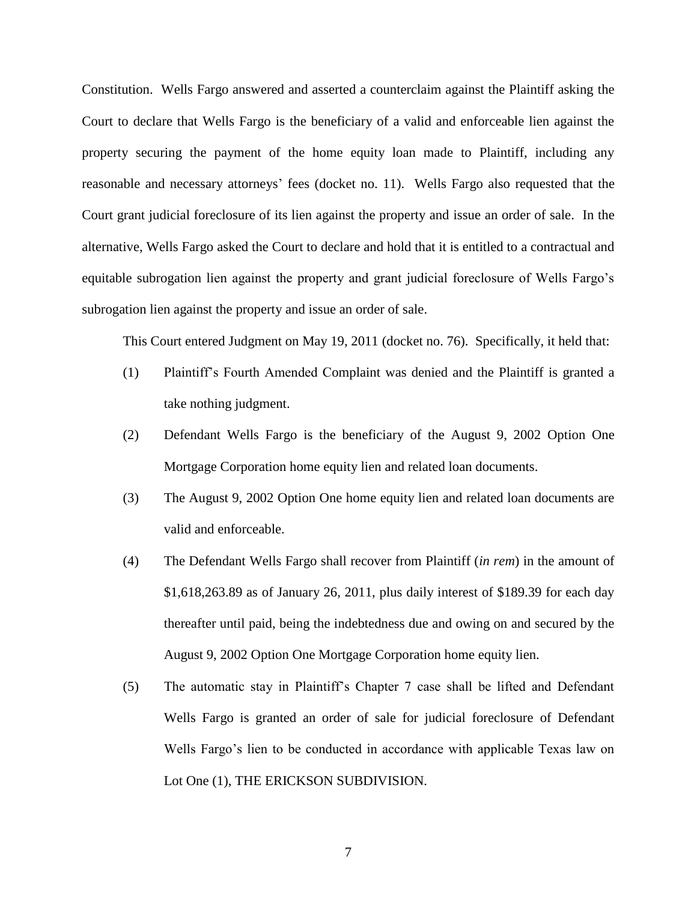Constitution. Wells Fargo answered and asserted a counterclaim against the Plaintiff asking the Court to declare that Wells Fargo is the beneficiary of a valid and enforceable lien against the property securing the payment of the home equity loan made to Plaintiff, including any reasonable and necessary attorneys' fees (docket no. 11). Wells Fargo also requested that the Court grant judicial foreclosure of its lien against the property and issue an order of sale. In the alternative, Wells Fargo asked the Court to declare and hold that it is entitled to a contractual and equitable subrogation lien against the property and grant judicial foreclosure of Wells Fargo's subrogation lien against the property and issue an order of sale.

This Court entered Judgment on May 19, 2011 (docket no. 76). Specifically, it held that:

- (1) Plaintiff's Fourth Amended Complaint was denied and the Plaintiff is granted a take nothing judgment.
- (2) Defendant Wells Fargo is the beneficiary of the August 9, 2002 Option One Mortgage Corporation home equity lien and related loan documents.
- (3) The August 9, 2002 Option One home equity lien and related loan documents are valid and enforceable.
- (4) The Defendant Wells Fargo shall recover from Plaintiff (*in rem*) in the amount of \$1,618,263.89 as of January 26, 2011, plus daily interest of \$189.39 for each day thereafter until paid, being the indebtedness due and owing on and secured by the August 9, 2002 Option One Mortgage Corporation home equity lien.
- (5) The automatic stay in Plaintiff's Chapter 7 case shall be lifted and Defendant Wells Fargo is granted an order of sale for judicial foreclosure of Defendant Wells Fargo's lien to be conducted in accordance with applicable Texas law on Lot One (1), THE ERICKSON SUBDIVISION.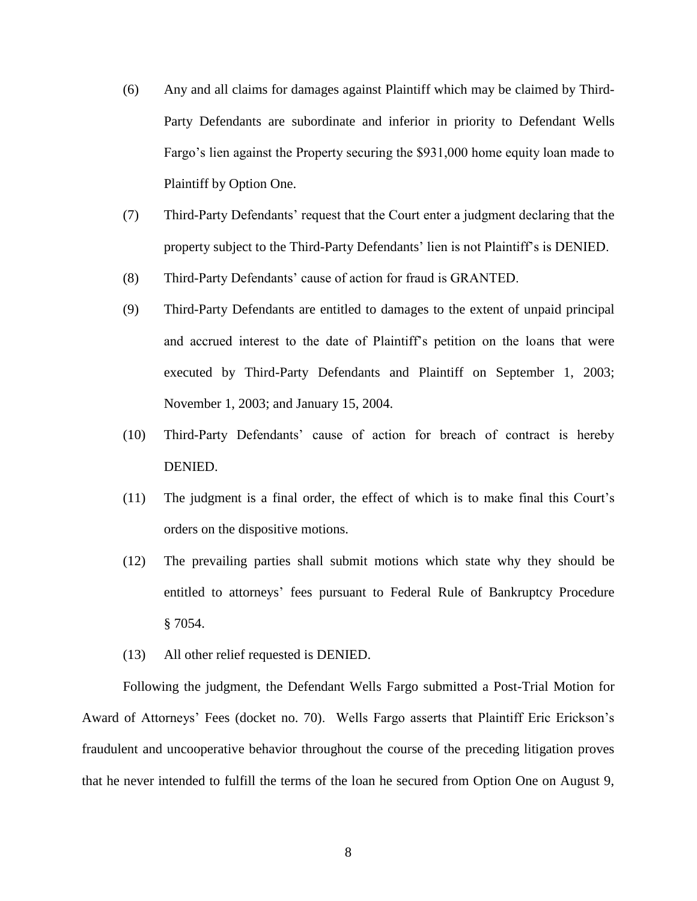- (6) Any and all claims for damages against Plaintiff which may be claimed by Third-Party Defendants are subordinate and inferior in priority to Defendant Wells Fargo's lien against the Property securing the \$931,000 home equity loan made to Plaintiff by Option One.
- (7) Third-Party Defendants' request that the Court enter a judgment declaring that the property subject to the Third-Party Defendants' lien is not Plaintiff's is DENIED.
- (8) Third-Party Defendants' cause of action for fraud is GRANTED.
- (9) Third-Party Defendants are entitled to damages to the extent of unpaid principal and accrued interest to the date of Plaintiff's petition on the loans that were executed by Third-Party Defendants and Plaintiff on September 1, 2003; November 1, 2003; and January 15, 2004.
- (10) Third-Party Defendants' cause of action for breach of contract is hereby DENIED.
- (11) The judgment is a final order, the effect of which is to make final this Court's orders on the dispositive motions.
- (12) The prevailing parties shall submit motions which state why they should be entitled to attorneys' fees pursuant to Federal Rule of Bankruptcy Procedure § 7054.
- (13) All other relief requested is DENIED.

Following the judgment, the Defendant Wells Fargo submitted a Post-Trial Motion for Award of Attorneys' Fees (docket no. 70). Wells Fargo asserts that Plaintiff Eric Erickson's fraudulent and uncooperative behavior throughout the course of the preceding litigation proves that he never intended to fulfill the terms of the loan he secured from Option One on August 9,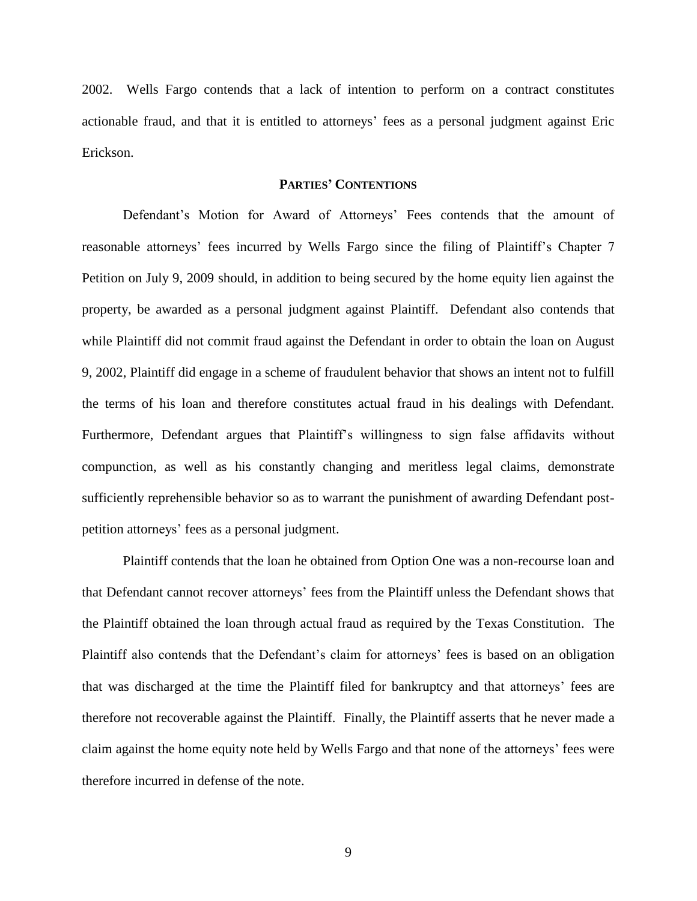2002. Wells Fargo contends that a lack of intention to perform on a contract constitutes actionable fraud, and that it is entitled to attorneys' fees as a personal judgment against Eric Erickson.

### **PARTIES' CONTENTIONS**

Defendant's Motion for Award of Attorneys' Fees contends that the amount of reasonable attorneys' fees incurred by Wells Fargo since the filing of Plaintiff's Chapter 7 Petition on July 9, 2009 should, in addition to being secured by the home equity lien against the property, be awarded as a personal judgment against Plaintiff. Defendant also contends that while Plaintiff did not commit fraud against the Defendant in order to obtain the loan on August 9, 2002, Plaintiff did engage in a scheme of fraudulent behavior that shows an intent not to fulfill the terms of his loan and therefore constitutes actual fraud in his dealings with Defendant. Furthermore, Defendant argues that Plaintiff's willingness to sign false affidavits without compunction, as well as his constantly changing and meritless legal claims, demonstrate sufficiently reprehensible behavior so as to warrant the punishment of awarding Defendant postpetition attorneys' fees as a personal judgment.

Plaintiff contends that the loan he obtained from Option One was a non-recourse loan and that Defendant cannot recover attorneys' fees from the Plaintiff unless the Defendant shows that the Plaintiff obtained the loan through actual fraud as required by the Texas Constitution. The Plaintiff also contends that the Defendant's claim for attorneys' fees is based on an obligation that was discharged at the time the Plaintiff filed for bankruptcy and that attorneys' fees are therefore not recoverable against the Plaintiff. Finally, the Plaintiff asserts that he never made a claim against the home equity note held by Wells Fargo and that none of the attorneys' fees were therefore incurred in defense of the note.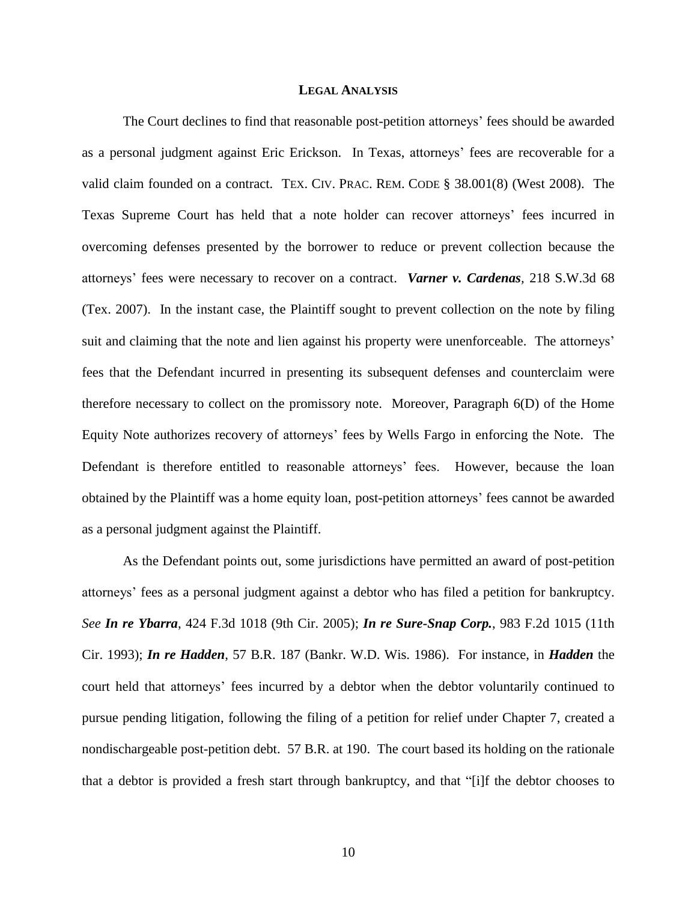#### **LEGAL ANALYSIS**

The Court declines to find that reasonable post-petition attorneys' fees should be awarded as a personal judgment against Eric Erickson. In Texas, attorneys' fees are recoverable for a valid claim founded on a contract. TEX. CIV. PRAC. REM. CODE § 38.001(8) (West 2008). The Texas Supreme Court has held that a note holder can recover attorneys' fees incurred in overcoming defenses presented by the borrower to reduce or prevent collection because the attorneys' fees were necessary to recover on a contract. *Varner v. Cardenas,* 218 S.W.3d 68 (Tex. 2007). In the instant case, the Plaintiff sought to prevent collection on the note by filing suit and claiming that the note and lien against his property were unenforceable. The attorneys' fees that the Defendant incurred in presenting its subsequent defenses and counterclaim were therefore necessary to collect on the promissory note. Moreover, Paragraph 6(D) of the Home Equity Note authorizes recovery of attorneys' fees by Wells Fargo in enforcing the Note. The Defendant is therefore entitled to reasonable attorneys' fees. However, because the loan obtained by the Plaintiff was a home equity loan, post-petition attorneys' fees cannot be awarded as a personal judgment against the Plaintiff.

As the Defendant points out, some jurisdictions have permitted an award of post-petition attorneys' fees as a personal judgment against a debtor who has filed a petition for bankruptcy. *See In re Ybarra*, 424 F.3d 1018 (9th Cir. 2005); *In re Sure-Snap Corp.*, 983 F.2d 1015 (11th Cir. 1993); *In re Hadden*, 57 B.R. 187 (Bankr. W.D. Wis. 1986). For instance, in *Hadden* the court held that attorneys' fees incurred by a debtor when the debtor voluntarily continued to pursue pending litigation, following the filing of a petition for relief under Chapter 7, created a nondischargeable post-petition debt. 57 B.R. at 190. The court based its holding on the rationale that a debtor is provided a fresh start through bankruptcy, and that "[i]f the debtor chooses to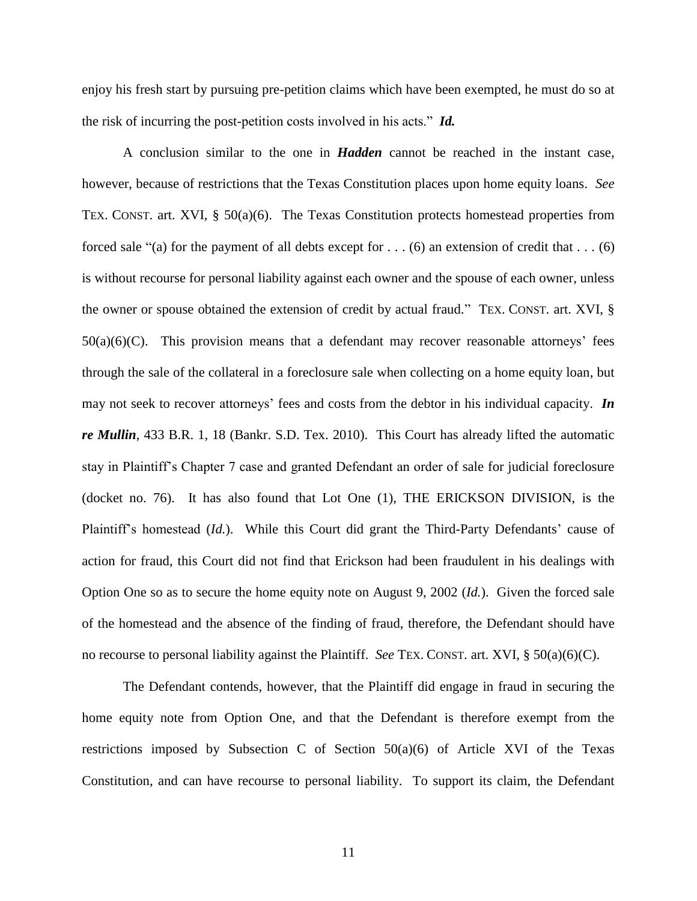enjoy his fresh start by pursuing pre-petition claims which have been exempted, he must do so at the risk of incurring the post-petition costs involved in his acts." *Id.*

A conclusion similar to the one in *Hadden* cannot be reached in the instant case, however, because of restrictions that the Texas Constitution places upon home equity loans. *See* TEX. CONST. art. XVI,  $\S$  50(a)(6). The Texas Constitution protects homestead properties from forced sale "(a) for the payment of all debts except for  $\dots$  (6) an extension of credit that  $\dots$  (6) is without recourse for personal liability against each owner and the spouse of each owner, unless the owner or spouse obtained the extension of credit by actual fraud." TEX. CONST. art. XVI, §  $50(a)(6)(C)$ . This provision means that a defendant may recover reasonable attorneys' fees through the sale of the collateral in a foreclosure sale when collecting on a home equity loan, but may not seek to recover attorneys' fees and costs from the debtor in his individual capacity. *In re Mullin*, 433 B.R. 1, 18 (Bankr. S.D. Tex. 2010). This Court has already lifted the automatic stay in Plaintiff's Chapter 7 case and granted Defendant an order of sale for judicial foreclosure (docket no. 76). It has also found that Lot One (1), THE ERICKSON DIVISION, is the Plaintiff's homestead (*Id.*). While this Court did grant the Third-Party Defendants' cause of action for fraud, this Court did not find that Erickson had been fraudulent in his dealings with Option One so as to secure the home equity note on August 9, 2002 (*Id.*). Given the forced sale of the homestead and the absence of the finding of fraud, therefore, the Defendant should have no recourse to personal liability against the Plaintiff. *See* TEX. CONST. art. XVI, § 50(a)(6)(C).

The Defendant contends, however, that the Plaintiff did engage in fraud in securing the home equity note from Option One, and that the Defendant is therefore exempt from the restrictions imposed by Subsection C of Section 50(a)(6) of Article XVI of the Texas Constitution, and can have recourse to personal liability. To support its claim, the Defendant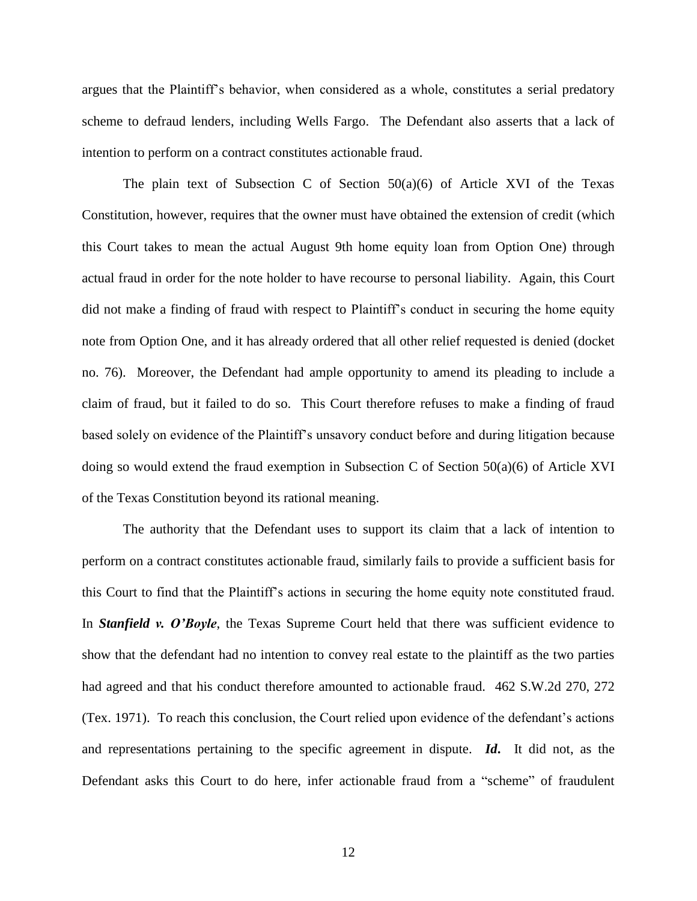argues that the Plaintiff's behavior, when considered as a whole, constitutes a serial predatory scheme to defraud lenders, including Wells Fargo. The Defendant also asserts that a lack of intention to perform on a contract constitutes actionable fraud.

The plain text of Subsection C of Section  $50(a)(6)$  of Article XVI of the Texas Constitution, however, requires that the owner must have obtained the extension of credit (which this Court takes to mean the actual August 9th home equity loan from Option One) through actual fraud in order for the note holder to have recourse to personal liability. Again, this Court did not make a finding of fraud with respect to Plaintiff's conduct in securing the home equity note from Option One, and it has already ordered that all other relief requested is denied (docket no. 76). Moreover, the Defendant had ample opportunity to amend its pleading to include a claim of fraud, but it failed to do so. This Court therefore refuses to make a finding of fraud based solely on evidence of the Plaintiff's unsavory conduct before and during litigation because doing so would extend the fraud exemption in Subsection C of Section 50(a)(6) of Article XVI of the Texas Constitution beyond its rational meaning.

The authority that the Defendant uses to support its claim that a lack of intention to perform on a contract constitutes actionable fraud, similarly fails to provide a sufficient basis for this Court to find that the Plaintiff's actions in securing the home equity note constituted fraud. In *Stanfield v. O'Boyle*, the Texas Supreme Court held that there was sufficient evidence to show that the defendant had no intention to convey real estate to the plaintiff as the two parties had agreed and that his conduct therefore amounted to actionable fraud. 462 S.W.2d 270, 272 (Tex. 1971). To reach this conclusion, the Court relied upon evidence of the defendant's actions and representations pertaining to the specific agreement in dispute. *Id***.** It did not, as the Defendant asks this Court to do here, infer actionable fraud from a "scheme" of fraudulent